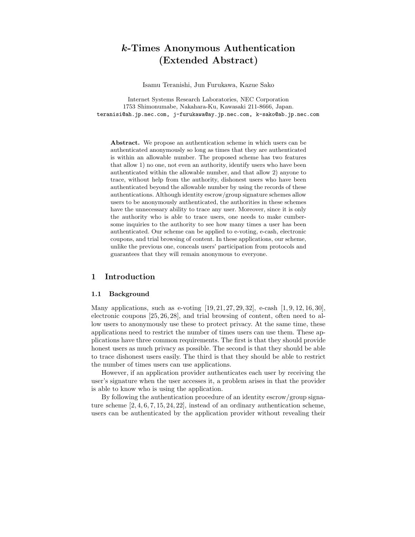# k-Times Anonymous Authentication (Extended Abstract)

Isamu Teranishi, Jun Furukawa, Kazue Sako

Internet Systems Research Laboratories, NEC Corporation 1753 Shimonumabe, Nakahara-Ku, Kawasaki 211-8666, Japan. teranisi@ah.jp.nec.com, j-furukawa@ay.jp.nec.com, k-sako@ab.jp.nec.com

Abstract. We propose an authentication scheme in which users can be authenticated anonymously so long as times that they are authenticated is within an allowable number. The proposed scheme has two features that allow 1) no one, not even an authority, identify users who have been authenticated within the allowable number, and that allow 2) anyone to trace, without help from the authority, dishonest users who have been authenticated beyond the allowable number by using the records of these authentications. Although identity escrow/group signature schemes allow users to be anonymously authenticated, the authorities in these schemes have the unnecessary ability to trace any user. Moreover, since it is only the authority who is able to trace users, one needs to make cumbersome inquiries to the authority to see how many times a user has been authenticated. Our scheme can be applied to e-voting, e-cash, electronic coupons, and trial browsing of content. In these applications, our scheme, unlike the previous one, conceals users' participation from protocols and guarantees that they will remain anonymous to everyone.

# 1 Introduction

### 1.1 Background

Many applications, such as e-voting  $[19, 21, 27, 29, 32]$ , e-cash  $[1, 9, 12, 16, 30]$ , electronic coupons [25, 26, 28], and trial browsing of content, often need to allow users to anonymously use these to protect privacy. At the same time, these applications need to restrict the number of times users can use them. These applications have three common requirements. The first is that they should provide honest users as much privacy as possible. The second is that they should be able to trace dishonest users easily. The third is that they should be able to restrict the number of times users can use applications.

However, if an application provider authenticates each user by receiving the user's signature when the user accesses it, a problem arises in that the provider is able to know who is using the application.

By following the authentication procedure of an identity escrow/group signature scheme [2, 4, 6, 7, 15, 24, 22], instead of an ordinary authentication scheme, users can be authenticated by the application provider without revealing their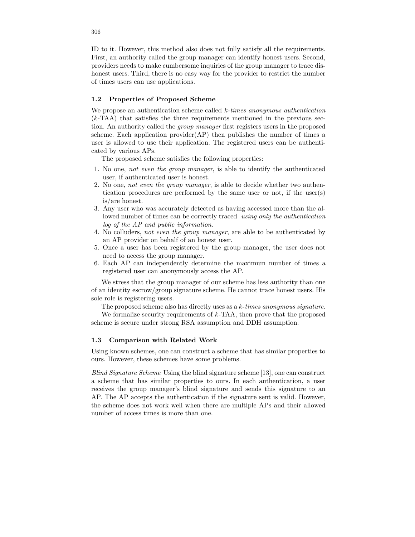ID to it. However, this method also does not fully satisfy all the requirements. First, an authority called the group manager can identify honest users. Second, providers needs to make cumbersome inquiries of the group manager to trace dishonest users. Third, there is no easy way for the provider to restrict the number of times users can use applications.

# 1.2 Properties of Proposed Scheme

We propose an authentication scheme called  $k-times$  anonymous authentication  $(k-TAA)$  that satisfies the three requirements mentioned in the previous section. An authority called the group manager first registers users in the proposed scheme. Each application  $provider(AP)$  then publishes the number of times a user is allowed to use their application. The registered users can be authenticated by various APs.

The proposed scheme satisfies the following properties:

- 1. No one, not even the group manager, is able to identify the authenticated user, if authenticated user is honest.
- 2. No one, not even the group manager, is able to decide whether two authentication procedures are performed by the same user or not, if the user(s) is/are honest.
- 3. Any user who was accurately detected as having accessed more than the allowed number of times can be correctly traced using only the authentication log of the AP and public information.
- 4. No colluders, not even the group manager, are able to be authenticated by an AP provider on behalf of an honest user.
- 5. Once a user has been registered by the group manager, the user does not need to access the group manager.
- 6. Each AP can independently determine the maximum number of times a registered user can anonymously access the AP.

We stress that the group manager of our scheme has less authority than one of an identity escrow/group signature scheme. He cannot trace honest users. His sole role is registering users.

The proposed scheme also has directly uses as a k-times anonymous signature.

We formalize security requirements of  $k$ -TAA, then prove that the proposed scheme is secure under strong RSA assumption and DDH assumption.

## 1.3 Comparison with Related Work

Using known schemes, one can construct a scheme that has similar properties to ours. However, these schemes have some problems.

Blind Signature Scheme Using the blind signature scheme [13], one can construct a scheme that has similar properties to ours. In each authentication, a user receives the group manager's blind signature and sends this signature to an AP. The AP accepts the authentication if the signature sent is valid. However, the scheme does not work well when there are multiple APs and their allowed number of access times is more than one.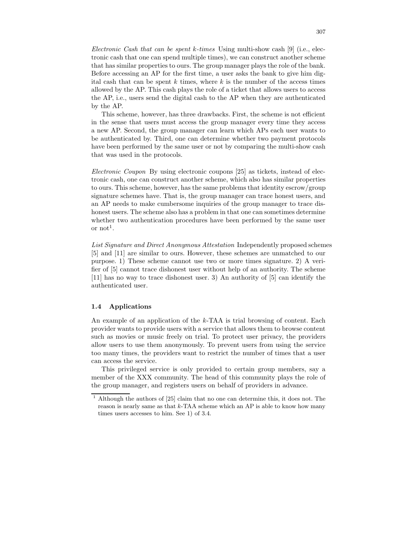Electronic Cash that can be spent k-times Using multi-show cash [9] (i.e., electronic cash that one can spend multiple times), we can construct another scheme that has similar properties to ours. The group manager plays the role of the bank. Before accessing an AP for the first time, a user asks the bank to give him digital cash that can be spent  $k$  times, where  $k$  is the number of the access times allowed by the AP. This cash plays the role of a ticket that allows users to access the AP, i.e., users send the digital cash to the AP when they are authenticated by the AP.

This scheme, however, has three drawbacks. First, the scheme is not efficient in the sense that users must access the group manager every time they access a new AP. Second, the group manager can learn which APs each user wants to be authenticated by. Third, one can determine whether two payment protocols have been performed by the same user or not by comparing the multi-show cash that was used in the protocols.

Electronic Coupon By using electronic coupons [25] as tickets, instead of electronic cash, one can construct another scheme, which also has similar properties to ours. This scheme, however, has the same problems that identity escrow/group signature schemes have. That is, the group manager can trace honest users, and an AP needs to make cumbersome inquiries of the group manager to trace dishonest users. The scheme also has a problem in that one can sometimes determine whether two authentication procedures have been performed by the same user or  $\text{not}^1$ .

List Signature and Direct Anonymous Attestation Independently proposed schemes [5] and [11] are similar to ours. However, these schemes are unmatched to our purpose. 1) These scheme cannot use two or more times signature. 2) A verifier of [5] cannot trace dishonest user without help of an authority. The scheme [11] has no way to trace dishonest user. 3) An authority of [5] can identify the authenticated user.

#### 1.4 Applications

An example of an application of the k-TAA is trial browsing of content. Each provider wants to provide users with a service that allows them to browse content such as movies or music freely on trial. To protect user privacy, the providers allow users to use them anonymously. To prevent users from using the service too many times, the providers want to restrict the number of times that a user can access the service.

This privileged service is only provided to certain group members, say a member of the XXX community. The head of this community plays the role of the group manager, and registers users on behalf of providers in advance.

<sup>1</sup> Although the authors of [25] claim that no one can determine this, it does not. The reason is nearly same as that  $k$ -TAA scheme which an AP is able to know how many times users accesses to him. See 1) of 3.4.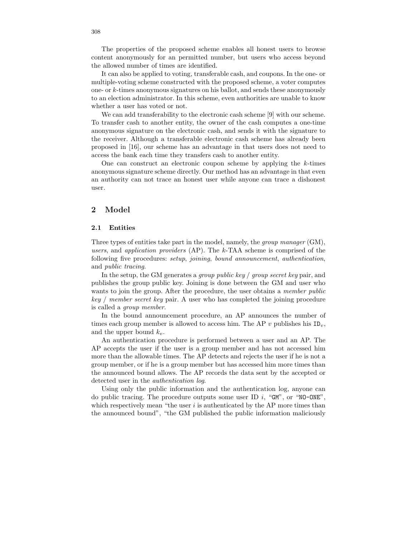The properties of the proposed scheme enables all honest users to browse content anonymously for an permitted number, but users who access beyond the allowed number of times are identified.

It can also be applied to voting, transferable cash, and coupons. In the one- or multiple-voting scheme constructed with the proposed scheme, a voter computes one- or k-times anonymous signatures on his ballot, and sends these anonymously to an election administrator. In this scheme, even authorities are unable to know whether a user has voted or not.

We can add transferability to the electronic cash scheme [9] with our scheme. To transfer cash to another entity, the owner of the cash computes a one-time anonymous signature on the electronic cash, and sends it with the signature to the receiver. Although a transferable electronic cash scheme has already been proposed in [16], our scheme has an advantage in that users does not need to access the bank each time they transfers cash to another entity.

One can construct an electronic coupon scheme by applying the  $k$ -times anonymous signature scheme directly. Our method has an advantage in that even an authority can not trace an honest user while anyone can trace a dishonest user.

# 2 Model

## 2.1 Entities

Three types of entities take part in the model, namely, the group manager (GM), users, and application providers  $(AP)$ . The k-TAA scheme is comprised of the following five procedures: setup, joining, bound announcement, authentication, and public tracing.

In the setup, the GM generates a group public key / group secret key pair, and publishes the group public key. Joining is done between the GM and user who wants to join the group. After the procedure, the user obtains a *member public* key / member secret key pair. A user who has completed the joining procedure is called a group member.

In the bound announcement procedure, an AP announces the number of times each group member is allowed to access him. The AP v publishes his  $ID_v$ , and the upper bound  $k_v$ .

An authentication procedure is performed between a user and an AP. The AP accepts the user if the user is a group member and has not accessed him more than the allowable times. The AP detects and rejects the user if he is not a group member, or if he is a group member but has accessed him more times than the announced bound allows. The AP records the data sent by the accepted or detected user in the authentication log.

Using only the public information and the authentication log, anyone can do public tracing. The procedure outputs some user ID i, "GM", or "NO-ONE", which respectively mean "the user  $i$  is authenticated by the AP more times than the announced bound", "the GM published the public information maliciously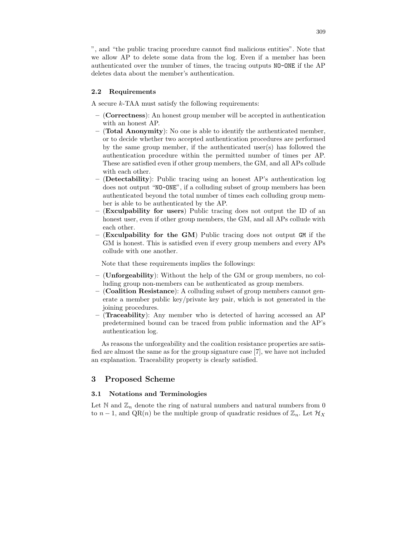## 2.2 Requirements

A secure k-TAA must satisfy the following requirements:

- (Correctness): An honest group member will be accepted in authentication with an honest AP.
- $-$  (Total Anonymity): No one is able to identify the authenticated member, or to decide whether two accepted authentication procedures are performed by the same group member, if the authenticated user(s) has followed the authentication procedure within the permitted number of times per AP. These are satisfied even if other group members, the GM, and all APs collude with each other.
- (Detectability): Public tracing using an honest AP's authentication log does not output "NO-ONE", if a colluding subset of group members has been authenticated beyond the total number of times each colluding group member is able to be authenticated by the AP.
- (Exculpability for users) Public tracing does not output the ID of an honest user, even if other group members, the GM, and all APs collude with each other.
- $-$  (Exculpability for the GM) Public tracing does not output GM if the GM is honest. This is satisfied even if every group members and every APs collude with one another.

Note that these requirements implies the followings:

- (Unforgeability): Without the help of the GM or group members, no colluding group non-members can be authenticated as group members.
- (Coalition Resistance): A colluding subset of group members cannot generate a member public key/private key pair, which is not generated in the joining procedures.
- (Traceability): Any member who is detected of having accessed an AP predetermined bound can be traced from public information and the AP's authentication log.

As reasons the unforgeability and the coalition resistance properties are satisfied are almost the same as for the group signature case [7], we have not included an explanation. Traceability property is clearly satisfied.

# 3 Proposed Scheme

### 3.1 Notations and Terminologies

Let  $\mathbb N$  and  $\mathbb Z_n$  denote the ring of natural numbers and natural numbers from 0 to  $n-1$ , and QR(n) be the multiple group of quadratic residues of  $\mathbb{Z}_n$ . Let  $\mathcal{H}_X$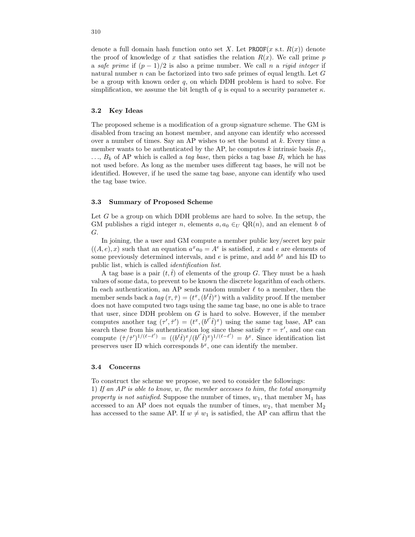denote a full domain hash function onto set X. Let  $PROOF(x \text{ s.t. } R(x))$  denote the proof of knowledge of x that satisfies the relation  $R(x)$ . We call prime p a safe prime if  $(p-1)/2$  is also a prime number. We call n a rigid integer if natural number  $n$  can be factorized into two safe primes of equal length. Let  $G$ be a group with known order  $q$ , on which DDH problem is hard to solve. For simplification, we assume the bit length of q is equal to a security parameter  $\kappa$ .

## 3.2 Key Ideas

The proposed scheme is a modification of a group signature scheme. The GM is disabled from tracing an honest member, and anyone can identify who accessed over a number of times. Say an AP wishes to set the bound at  $k$ . Every time a member wants to be authenticated by the AP, he computes k intrinsic basis  $B_1$ ,  $\ldots$ ,  $B_k$  of AP which is called a tag base, then picks a tag base  $B_i$  which he has not used before. As long as the member uses different tag bases, he will not be identified. However, if he used the same tag base, anyone can identify who used the tag base twice.

#### 3.3 Summary of Proposed Scheme

Let  $G$  be a group on which DDH problems are hard to solve. In the setup, the GM publishes a rigid integer n, elements  $a, a_0 \in U$  QR(n), and an element b of G.

In joining, the a user and GM compute a member public key/secret key pair  $((A, e), x)$  such that an equation  $a^x a_0 = A^e$  is satisfied, x and e are elements of some previously determined intervals, and  $e$  is prime, and add  $b<sup>x</sup>$  and his ID to public list, which is called identification list.

A tag base is a pair  $(t, \tilde{t})$  of elements of the group G. They must be a hash values of some data, to prevent to be known the discrete logarithm of each others. In each authentication, an AP sends random number  $\ell$  to a member, then the member sends back a  $tag (\tau, \check{\tau}) = (t^x, (b^{\ell} \check{t})^x)$  with a validity proof. If the member does not have computed two tags using the same tag base, no one is able to trace that user, since DDH problem on  $G$  is hard to solve. However, if the member computes another tag  $(\tau', \check{\tau}') = (t^x, (b^{\ell'}\check{t})^x)$  using the same tag base, AP can search these from his authentication log since these satisfy  $\tau = \tau'$ , and one can compute  $(\check{\tau}/\check{\tau}')^{1/(\ell-\ell')} = ((b^{\ell}\check{t})^{x}/(b^{\ell'}\check{t})^{x})^{1/(\ell-\ell')} = b^{x}$ . Since identification list preserves user ID which corresponds  $b^x$ , one can identify the member.

#### 3.4 Concerns

To construct the scheme we propose, we need to consider the followings:

1) If an AP is able to know, w, the member accesses to him, the total anonymity property is not satisfied. Suppose the number of times,  $w_1$ , that member  $M_1$  has accessed to an AP does not equals the number of times,  $w_2$ , that member  $M_2$ has accessed to the same AP. If  $w \neq w_1$  is satisfied, the AP can affirm that the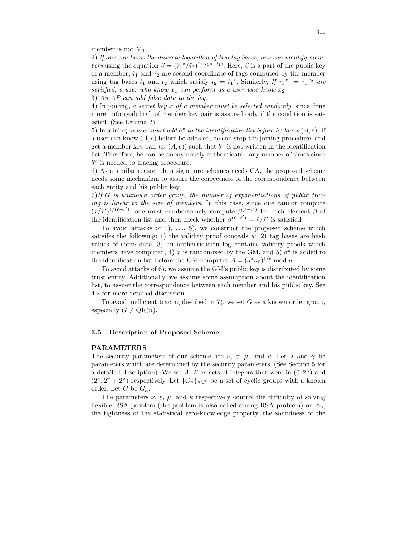member is not  $M_1$ .

2) If one can know the discrete logarithm of two tag bases, one can identify members using the equation  $\beta = (\check{\tau}_1^z / \check{\tau}_2)^{1/(l_1 z - l_2)}$ . Here,  $\beta$  is a part of the public key of a member,  $\check{\tau}_1$  and  $\check{\tau}_2$  are second coordinate of tags computed by the member using tag bases  $t_1$  and  $t_2$  which satisfy  $t_2 = t_1^z$ . Similerly,  $If \tau_1^{x_1} = \tau_1^{x_2}$  are satisfied, a user who know  $x_1$  can perform as a user who know  $x_2$ 

3) An AP can add false data to the log.

4) In joining, a secret key x of a member must be selected randomly, since "one more unforgeability" of member key pair is assured only if the condition is satisfied. (See Lemma 2).

5) In joining, a user must add  $b^x$  to the identification list before he know  $(A, e)$ . If a user can know  $(A, e)$  before he adds  $b^x$ , he can stop the joining procedure, and get a member key pair  $(x, (A, e))$  such that  $b^x$  is not written in the identification list. Therefore, he can be anonymously authenticated any number of times since  $b^x$  is needed to tracing procedure.

6) As a similar reason plain signature schemes needs CA, the proposed scheme needs some mechanizm to assure the correctness of the correspondence between each entity and his public key.

7)If G is unknown order group, the number of exponentiations of public tracing is linear to the size of members. In this case, since one cannot compute  $(\check{\tau}/\check{\tau}')^{1/(\ell-\ell')}$ , one must cumbersomely compute  $\beta^{(\ell-\ell')}$  for each element  $\beta$  of the identification list and then check whether  $\beta^{(\ell-\ell')} = \check{\tau}/\check{\tau}'$  is satisfied.

To avoid attacks of 1,  $\dots$ , 5, we construct the proposed scheme which satisifes the following: 1) the validity proof conceals  $w$ , 2) tag bases are hash values of some data, 3) an authentication log contains validity proofs which members have computed, 4) x is randomized by the GM, and 5)  $b^x$  is added to the identification list before the GM computes  $A = (a^x a_0)^{1/e} \mod n$ .

To avoid attacks of 6), we assume the GM's public key is distributed by some trust entity. Additionally, we assume some assumption about the identification list, to assuer the correspondence between each member and his public key. See 4.2 for more detailed discussion.

To avoid inefficient tracing descibed in 7), we set  $G$  as a known order group, especially  $G \neq \mathrm{QR}(n)$ .

#### 3.5 Description of Proposed Scheme

# PARAMETERS

The security parameters of our scheme are  $\nu$ ,  $\varepsilon$ ,  $\mu$ , and  $\kappa$ . Let  $\lambda$  and  $\gamma$  be parameters which are determined by the security parameters. (See Section 5 for a detailed description). We set  $\Lambda$ ,  $\Gamma$  as sets of integers that were in  $(0, 2^{\lambda})$  and  $(2^{\gamma}, 2^{\gamma}+2^{\lambda})$  respectively. Let  ${G_{\kappa}}_{\kappa\in\mathbb{N}}$  be a set of cyclic groups with a known order. Let G be  $G_{\kappa}$ .

The parameters  $\nu$ ,  $\varepsilon$ ,  $\mu$ , and  $\kappa$  respectively control the difficulty of solving flexible RSA problem (the problem is also called strong RSA problem) on  $\mathbb{Z}_n$ , the tightness of the statistical zero-knowledge property, the soundness of the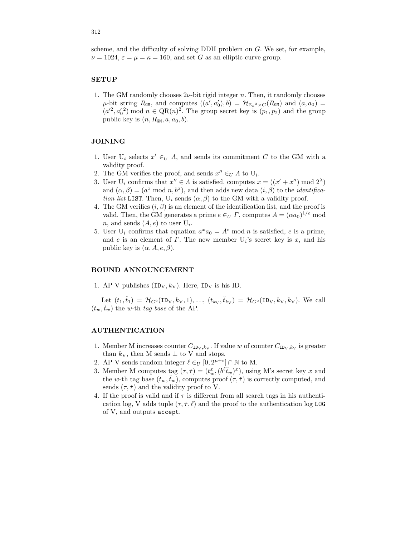scheme, and the difficulty of solving DDH problem on G. We set, for example,  $\nu = 1024$ ,  $\varepsilon = \mu = \kappa = 160$ , and set G as an elliptic curve group.

#### **SETUP**

1. The GM randomly chooses  $2\nu$ -bit rigid integer n. Then, it randomly chooses  $\mu$ -bit string  $R_{GM}$ , and computes  $((a', a'_0), b) = \mathcal{H}_{\mathbb{Z}_n^2 \times G}(R_{GM})$  and  $(a, a_0) =$  $(a^2, a_0^2)$  mod  $n \in \text{QR}(n)^2$ . The group secret key is  $(p_1, p_2)$  and the group public key is  $(n, R_{\text{GM}}, a, a_0, b)$ .

## JOINING

- 1. User  $U_i$  selects  $x' \in U$  A, and sends its commitment C to the GM with a validity proof.
- 2. The GM verifies the proof, and sends  $x'' \in U \Lambda$  to  $U_i$ .
- 3. User  $U_i$  confirms that  $x'' \in A$  is satisfied, computes  $x = (x' + x'') \mod 2^{\lambda}$ and  $(\alpha, \beta) = (a^x \mod n, b^x)$ , and then adds new data  $(i, \beta)$  to the *identifica*tion list LIST. Then,  $U_i$  sends  $(\alpha, \beta)$  to the GM with a validity proof.
- 4. The GM verifies  $(i, \beta)$  is an element of the identification list, and the proof is valid. Then, the GM generates a prime  $e \in U \subset \Gamma$ , computes  $A = (\alpha a_0)^{1/e} \mod$ *n*, and sends  $(A, e)$  to user  $U_i$ .
- 5. User  $U_i$  confirms that equation  $a^x a_0 = A^e \mod n$  is satisfied, e is a prime, and e is an element of  $\Gamma$ . The new member  $U_i$ 's secret key is  $x$ , and his public key is  $(\alpha, A, e, \beta)$ .

## BOUND ANNOUNCEMENT

1. AP V publishes  $(ID_V, k_V)$ . Here, ID<sub>V</sub> is his ID.

Let  $(t_1,t_1) = \mathcal{H}_{G^2}(\text{ID}_V,k_V,1), \ldots, (t_{k_V},t_{k_V}) = \mathcal{H}_{G^2}(\text{ID}_V,k_V,k_V).$  We call  $(t_w, \dot{t}_w)$  the w-th tag base of the AP.

#### AUTHENTICATION

- 1. Member M increases counter  $C_{\text{ID}_V,k_V}$ . If value w of counter  $C_{\text{ID}_V,k_V}$  is greater than  $k_V$ , then M sends  $\perp$  to V and stops.
- 2. AP V sends random integer  $\ell \in_U [0, 2^{\mu+\varepsilon}] \cap \mathbb{N}$  to M.
- 3. Member M computes tag  $(\tau, \check{\tau}) = (t_w^x, (b^{\ell} \check{t}_w)^x)$ , using M's secret key x and the w-th tag base  $(t_w, \check{t}_w)$ , computes proof  $(\tau, \check{\tau})$  is correctly computed, and sends  $(\tau, \check{\tau})$  and the validity proof to V.
- 4. If the proof is valid and if  $\tau$  is different from all search tags in his authentication log, V adds tuple  $(\tau, \tilde{\tau}, \ell)$  and the proof to the authentication log LOG of V, and outputs accept.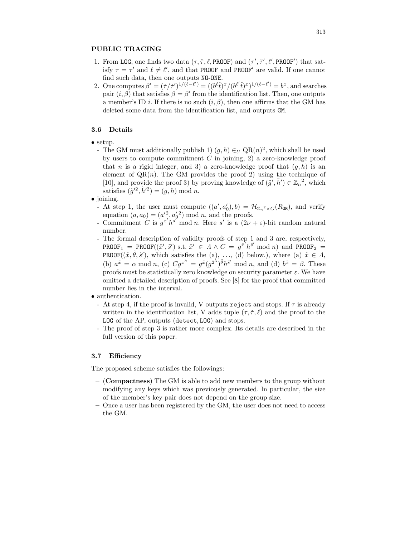# PUBLIC TRACING

- 1. From LOG, one finds two data  $(\tau, \check{\tau}, \ell, \text{PROOF})$  and  $(\tau', \check{\tau}', \ell', \text{PROOF}')$  that satisfy  $\tau = \tau'$  and  $\ell \neq \ell'$ , and that PROOF and PROOF' are valid. If one cannot find such data, then one outputs NO-ONE.
- 2. One computes  $\beta' = (\check{\tau}/\check{\tau}')^{1/(\ell-\ell')} = ((b^{\ell}\check{t})^{x}/(b^{\ell'}\check{t})^{x})^{1/(\ell-\ell')} = b^{x}$ , and searches pair  $(i, \beta)$  that satisfies  $\beta = \beta'$  from the identification list. Then, one outputs a member's ID i. If there is no such  $(i, \beta)$ , then one affirms that the GM has deleted some data from the identification list, and outputs GM.

# 3.6 Details

- setup.
	- The GM must additionally publish 1)  $(g, h) \in U \mathbb{R}(\mathbb{R}^2)$ , which shall be used by users to compute commitment  $C$  in joining, 2) a zero-knowledge proof that n is a rigid integer, and 3) a zero-knowledge proof that  $(g, h)$  is an element of  $QR(n)$ . The GM provides the proof 2) using the technique of [10], and provide the proof 3) by proving knowledge of  $(\tilde{g}', \tilde{h}') \in \mathbb{Z}_n^2$ , which satisfies  $(\tilde{g}'^2, \tilde{h}'^2) = (g, h) \bmod n$ .
- joining.
	- At step 1, the user must compute  $((a', a'_0), b) = \mathcal{H}_{\mathbb{Z}_n^2 \times G}(R_{\text{GM}})$ , and verify equation  $(a, a_0) = (a'^2, a'_0)^2$  mod *n*, and the proofs.
	- Commitment C is  $g^{x'}h^{s'}$  mod n. Here s' is a  $(2\nu + \varepsilon)$ -bit random natural number.
	- The formal description of validity proofs of step 1 and 3 are, respectively, PROOF<sub>1</sub> = PROOF $((\tilde{x}', \tilde{s}')$  s.t.  $\tilde{x}' \in A \wedge C = g^{\tilde{x}'} h^{\tilde{s}'} \bmod n$  and PROOF<sub>2</sub> = **PROOF**( $(\tilde{x}, \tilde{\theta}, \tilde{s}')$ , which satisfies the (a), ..., (d) below.), where (a)  $\tilde{x} \in \Lambda$ , (b)  $a^{\tilde{x}} = \alpha \mod n$ , (c)  $Cg^{x''} = g^{\tilde{x}}(g^{2\lambda})^{\tilde{\theta}}h^{\tilde{s}} \mod n$ , and (d)  $b^{\tilde{x}} = \beta$ . These proofs must be statistically zero knowledge on security parameter  $\varepsilon$ . We have omitted a detailed description of proofs. See [8] for the proof that committed number lies in the interval.
- authentication.
	- At step 4, if the proof is invalid, V outputs reject and stops. If  $\tau$  is already written in the identification list, V adds tuple  $(\tau, \check{\tau}, \ell)$  and the proof to the LOG of the AP, outputs (detect, LOG) and stops.
	- The proof of step 3 is rather more complex. Its details are described in the full version of this paper.

#### 3.7 Efficiency

The proposed scheme satisfies the followings:

- (Compactness) The GM is able to add new members to the group without modifying any keys which was previously generated. In particular, the size of the member's key pair does not depend on the group size.
- Once a user has been registered by the GM, the user does not need to access the GM.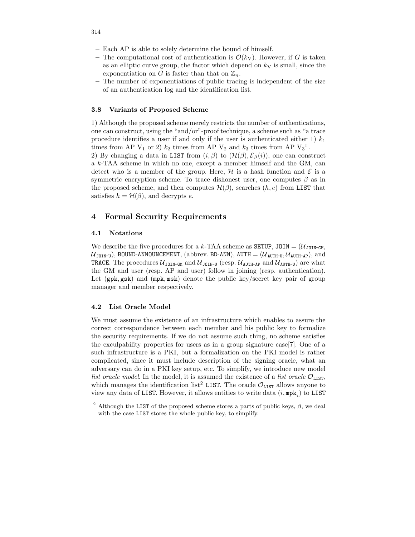- Each AP is able to solely determine the bound of himself.
- The computational cost of authentication is  $\mathcal{O}(k_{\rm V})$ . However, if G is taken as an elliptic curve group, the factor which depend on  $k<sub>V</sub>$  is small, since the exponentiation on G is faster than that on  $\mathbb{Z}_n$ .
- The number of exponentiations of public tracing is independent of the size of an authentication log and the identification list.

#### 3.8 Variants of Proposed Scheme

1) Although the proposed scheme merely restricts the number of authentications, one can construct, using the "and/or"-proof technique, a scheme such as "a trace procedure identifies a user if and only if the user is authenticated either 1)  $k_1$ times from AP V<sub>1</sub> or 2)  $k_2$  times from AP V<sub>2</sub> and  $k_3$  times from AP V<sub>3</sub>". 2) By changing a data in LIST from  $(i, \beta)$  to  $(\mathcal{H}(\beta), \mathcal{E}_{\beta}(i))$ , one can construct

a k-TAA scheme in which no one, except a member himself and the GM, can detect who is a member of the group. Here,  $H$  is a hash function and  $\mathcal E$  is a symmetric encryption scheme. To trace dishonest user, one computes  $\beta$  as in the proposed scheme, and then computes  $\mathcal{H}(\beta)$ , searches  $(h, e)$  from LIST that satisfies  $h = \mathcal{H}(\beta)$ , and decrypts e.

# 4 Formal Security Requirements

#### 4.1 Notations

We describe the five procedures for a k-TAA scheme as SETUP, JOIN =  $(U_{\text{JOIN-GM}})$  $U_{\text{JOIN-U}}$ , BOUND-ANNOUNCEMENT, (abbrev. BD-ANN), AUTH =  $(U_{\text{AUTH-U}}, U_{\text{AUTH-AP}})$ , and **TRACE.** The procedures  $U_{\text{JOIN-GM}}$  and  $U_{\text{JOIN-U}}$  (resp.  $U_{\text{AUTH-AP}}$  and  $U_{\text{AUTH-U}}$ ) are what the GM and user (resp. AP and user) follow in joining (resp. authentication). Let (gpk, gsk) and (mpk, msk) denote the public key/secret key pair of group manager and member respectively.

#### 4.2 List Oracle Model

We must assume the existence of an infrastructure which enables to assure the correct correspondence between each member and his public key to formalize the security requirements. If we do not assume such thing, no scheme satisfies the exculpability properties for users as in a group signature case[7]. One of a such infrastructure is a PKI, but a formalization on the PKI model is rather complicated, since it must include description of the signing oracle, what an adversary can do in a PKI key setup, etc. To simplify, we introduce new model list oracle model. In the model, it is assumed the existence of a list oracle  $\mathcal{O}_{\text{LIST}}$ , which manages the identification list<sup>2</sup> LIST. The oracle  $\mathcal{O}_{\text{LIST}}$  allows anyone to view any data of LIST. However, it allows entities to write data  $(i, \texttt{mpk}_i)$  to LIST

<sup>&</sup>lt;sup>2</sup> Although the LIST of the proposed scheme stores a parts of public keys,  $\beta$ , we deal with the case LIST stores the whole public key, to simplify.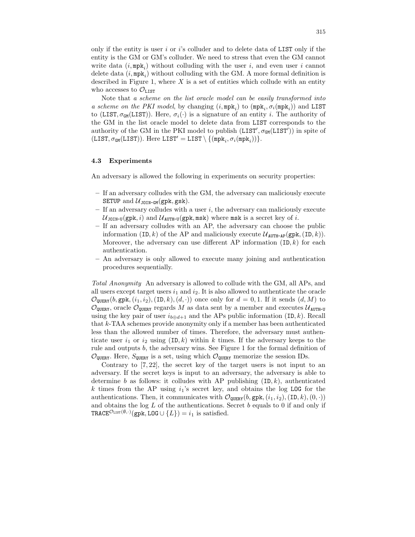only if the entity is user i or i's colluder and to delete data of  $LIST$  only if the entity is the GM or GM's colluder. We need to stress that even the GM cannot write data  $(i, \text{mpk}_i)$  without colluding with the user i, and even user i cannot delete data  $(i, \texttt{mpk}_i)$  without colluding with the GM. A more formal definition is described in Figure 1, where  $X$  is a set of entities which collude with an entity who accesses to  $\mathcal{O}_{\texttt{LIST}}$ 

Note that a scheme on the list oracle model can be easily transformed into a scheme on the PKI model, by changing  $(i, \text{mpk}_i)$  to  $(\text{mpk}_i, \sigma_i(\text{mpk}_i))$  and LIST to (LIST,  $\sigma_{GM}(LIST)$ ). Here,  $\sigma_i(\cdot)$  is a signature of an entity i. The authority of the GM in the list oracle model to delete data from LIST corresponds to the authority of the GM in the PKI model to publish  $(LIST', \sigma_{GM}(LIST'))$  in spite of  $(LIST, \sigma_{GM}(LIST)).$  Here  $LIST' = LIST \setminus \{ (mpk_i, \sigma_i(mpk_i)) \}.$ 

# 4.3 Experiments

An adversary is allowed the following in experiments on security properties:

- If an adversary colludes with the GM, the adversary can maliciously execute SETUP and  $U_{\text{JOIN-GM}}(\text{gpk}, \text{gsk})$ .
- $-$  If an adversary colludes with a user i, the adversary can maliciously execute  $U_{\text{JOIN-U}}(\text{gpk},i)$  and  $U_{\text{AUTH-U}}(\text{gpk},\text{msk})$  where msk is a secret key of i.
- If an adversary colludes with an AP, the adversary can choose the public information (ID, k) of the AP and maliciously execute  $\mathcal{U}_{\text{AUTH-AP}}(\text{gpk},(\text{ID}, k)).$ Moreover, the adversary can use different AP information  $(ID, k)$  for each authentication.
- An adversary is only allowed to execute many joining and authentication procedures sequentially.

Total Anonymity An adversary is allowed to collude with the GM, all APs, and all users except target users  $i_1$  and  $i_2$ . It is also allowed to authenticate the oracle  $\mathcal{O}_{\text{QUERY}}(b, \text{gpk}, (i_1, i_2), (\text{ID}, k), (d, \cdot))$  once only for  $d = 0, 1$ . If it sends  $(d, M)$  to  $\mathcal{O}_{\text{QUERY}}$ , oracle  $\mathcal{O}_{\text{QUERY}}$  regards M as data sent by a member and executes  $\mathcal{U}_{\text{AUTH-U}}$ using the key pair of user  $i_{b \oplus d+1}$  and the APs public information (ID, k). Recall that k-TAA schemes provide anonymity only if a member has been authenticated less than the allowed number of times. Therefore, the adversary must authenticate user  $i_1$  or  $i_2$  using (ID, k) within k times. If the adversary keeps to the rule and outputs b, the adversary wins. See Figure 1 for the formal definition of  $\mathcal{O}_{\text{QUERY}}$ . Here,  $S_{\text{QUERY}}$  is a set, using which  $\mathcal{O}_{\text{QUERY}}$  memorize the session IDs.

Contrary to  $[7, 22]$ , the secret key of the target users is not input to an adversary. If the secret keys is input to an adversary, the adversary is able to determine b as follows: it colludes with AP publishing  $(ID, k)$ , authenticated k times from the AP using  $i_1$ 's secret key, and obtains the log LOG for the authentications. Then, it communicates with  $\mathcal{O}_{\text{QUERY}}(b, \text{gpk},(i_1,i_2),(\text{ID}, k),(0, \cdot))$ and obtains the log  $L$  of the authentications. Secret  $b$  equals to 0 if and only if  $\texttt{TRACE}^{\mathcal{O}_{\texttt{LIST}}(\emptyset,\cdot)}(\texttt{gpk},\texttt{LOG}\cup\{L\})=i_1 \text{ is satisfied}.$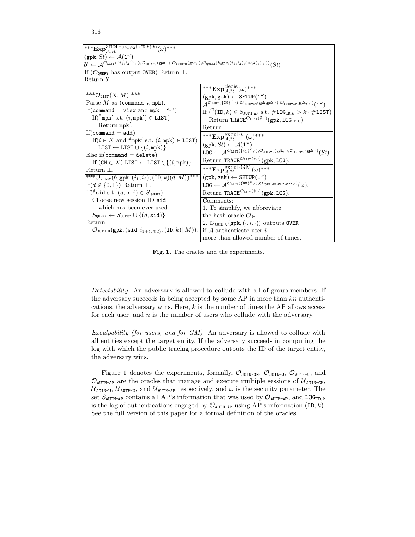| *** $\mathbf{Exp}_{A,H}^{\text{anon-}((i_1,i_2),(\text{ID},k),b)}(\omega)$ ***                                                                                                                                                                                            |                                                                                                                                                                                                      |
|---------------------------------------------------------------------------------------------------------------------------------------------------------------------------------------------------------------------------------------------------------------------------|------------------------------------------------------------------------------------------------------------------------------------------------------------------------------------------------------|
| $(gpk, St) \leftarrow \mathcal{A}(1^{\omega})$                                                                                                                                                                                                                            |                                                                                                                                                                                                      |
| $b' \leftarrow \mathcal{A}^{\mathcal{O}_{\text{LIST}}(\{i_1,i_2\}^c,\cdot),\mathcal{O}_{\text{JOIN}-\text{U}}(\text{gpk},\cdot),\mathcal{O}_{\text{AUTH}-\text{U}}(\text{gpk},\cdot),\mathcal{O}_{\text{QUERY}}(b,\text{gpk},(i_1,i_2),(\text{ID},k),(\cdot,\cdot))}(St)$ |                                                                                                                                                                                                      |
| If ( $\mathcal{O}_{\text{QUERY}}$ has output OVER) Return $\perp$ .                                                                                                                                                                                                       |                                                                                                                                                                                                      |
| Return $b'$ .                                                                                                                                                                                                                                                             |                                                                                                                                                                                                      |
|                                                                                                                                                                                                                                                                           | *** $\mathbf{Exp}_{A\cdot H}^{\text{decis}}(\omega)$ ***                                                                                                                                             |
| *** $\mathcal{O}_{\text{LIST}}(X, M)$ ***                                                                                                                                                                                                                                 | $(gpk, gsk) \leftarrow \text{SETUP}(1^{\omega})$                                                                                                                                                     |
| Parse M as (command, $i$ , mpk).                                                                                                                                                                                                                                          | $\mathcal{A}^{\mathcal{O}_{\text{LIST}}(\{\text{GM}\}^c,\cdot),\mathcal{O}_{\text{JOIN-GM}}(\text{gpk},\text{gsk},\cdot),\mathcal{O}_{\text{AUTH-AP}}(\text{gpk},\cdot,\cdot)}(1^\omega).$           |
| If(command = view and mpk = "-")                                                                                                                                                                                                                                          | If $({}^{\exists}(\text{ID},k) \in S_{\text{AUTH-AP}} \text{ s.t. } #\text{LOG}_{\text{ID},k} > k \cdot #\text{LIST})$                                                                               |
| If( $\exists$ mpk' s.t. $(i, mpk') \in \text{LIST}$ )                                                                                                                                                                                                                     | Return TRACE <sup><math>\mathcal{O}_{\text{LIST}}(\emptyset, \cdot)</math> (gpk, LOG<sub>ID,k</sub>).</sup>                                                                                          |
| Return mpk'.                                                                                                                                                                                                                                                              | Return $\perp$ .                                                                                                                                                                                     |
| $If$ (command = add)                                                                                                                                                                                                                                                      |                                                                                                                                                                                                      |
| If $(i \in X \text{ and } \overline{\mathbb{F}}$ mpk' s.t. $(i, \text{mpk}) \in \text{LIST}$                                                                                                                                                                              | *** $\mathbf{Exp}_{A\mathcal{H}}^{\mathrm{excul-}i_1}(\omega)$ ***                                                                                                                                   |
| LIST $\leftarrow$ LIST $\cup$ {( <i>i</i> , mpk)}.                                                                                                                                                                                                                        | $(gpk, St) \leftarrow \mathcal{A}(1^{\omega}).$                                                                                                                                                      |
| Else if(command $=$ delete)                                                                                                                                                                                                                                               | $\text{LOG} \leftarrow \mathcal{A}^{\mathcal{O}_{\text{LIST}}(\{i_1\}^c, \cdot), \mathcal{O}_{\text{JOIN}-\text{U}}(\text{gpk}, \cdot), \mathcal{O}_{\text{AUTH}-\text{U}}(\text{gpk}, \cdot)}(St).$ |
| If $(GM \in X)$ LIST $\leftarrow$ LIST $\setminus \{(i, mpk)\}.$                                                                                                                                                                                                          | Return TRACE <sup><math>\mathcal{O}_{\text{LIST}}(\emptyset, \cdot)</math> (gpk, LOG).</sup>                                                                                                         |
| Return $\perp$ .                                                                                                                                                                                                                                                          | *** $\text{Exp}_{A\mathcal{H}}^{\text{excul-GM}}(\omega)$ ***                                                                                                                                        |
| *** $\mathcal{O}_{\text{QUERY}}(b, \text{gpk}, (i_1, i_2), (\text{ID}, k)(d, M))$ ***                                                                                                                                                                                     | $(gpk, gsk) \leftarrow \text{SETUP}(1^{\omega})$                                                                                                                                                     |
| If( $d \notin \{0,1\}$ ) Return $\perp$ .                                                                                                                                                                                                                                 | $\text{LOG} \leftarrow \mathcal{A}^{\mathcal{O}_{\text{LIST}}(\{\text{GM}\}^c,\cdot),\mathcal{O}_{\text{JOIN-GM}}(\text{gpk},\text{gsk},\cdot)}(\omega).$                                            |
| If( $\sharp$ sid s.t. $(d, \text{sid}) \in S_{\text{QUERY}}$ )                                                                                                                                                                                                            | Return TRACE $^{\mathcal{O}_{\text{LIST}}(\emptyset,\cdot)}(\text{gpk},\text{LOG}).$                                                                                                                 |
| Choose new session ID sid                                                                                                                                                                                                                                                 | Comments:                                                                                                                                                                                            |
| which has been ever used.                                                                                                                                                                                                                                                 | 1. To simplify, we abbreviate                                                                                                                                                                        |
| $S_{\text{QUERY}} \leftarrow S_{\text{QUERY}} \cup \{(d, \texttt{sid})\}.$                                                                                                                                                                                                | the hash oracle $\mathcal{O}_{\mathcal{H}}$ .                                                                                                                                                        |
| Return                                                                                                                                                                                                                                                                    | 2. $\mathcal{O}_{\text{AUTH-U}}(\text{gpk}, (\cdot, i, \cdot))$ outputs OVER                                                                                                                         |
| $\mathcal{O}_{\texttt{AUTH-U}}(\texttt{gpk}, (\texttt{sid}, i_{1+(b\oplus d)}, (\texttt{ID}, k)  M)).$                                                                                                                                                                    | if $A$ authenticate user i                                                                                                                                                                           |
|                                                                                                                                                                                                                                                                           | more than allowed number of times.                                                                                                                                                                   |

Fig. 1. The oracles and the experiments.

Detectability An adversary is allowed to collude with all of group members. If the adversary succeeds in being accepted by some AP in more than  $kn$  authentications, the adversary wins. Here,  $k$  is the number of times the AP allows access for each user, and  $n$  is the number of users who collude with the adversary.

Exculpability (for users, and for GM) An adversary is allowed to collude with all entities except the target entity. If the adversary succeeds in computing the log with which the public tracing procedure outputs the ID of the target entity, the adversary wins.

Figure 1 denotes the experiments, formally.  $\mathcal{O}_{\text{JOIN-GM}}$ ,  $\mathcal{O}_{\text{JOIN-U}}$ ,  $\mathcal{O}_{\text{AUTH-U}}$ , and  $\mathcal{O}_{\texttt{AUTH-AP}}$  are the oracles that manage and execute multiple sessions of  $\mathcal{U}_{\texttt{JOIN-GH}}$ ,  $\mathcal{U}_{\text{JOIN-U}}, \mathcal{U}_{\text{AUTH-U}},$  and  $\mathcal{U}_{\text{AUTH-AP}}$  respectively, and  $\omega$  is the security parameter. The set  $S_{\text{AUTH-AP}}$  contains all AP's information that was used by  $\mathcal{O}_{\text{AUTH-AP}}$ , and  $\text{LOG}_{\text{ID},k}$ is the log of authentications engaged by  $\mathcal{O}_{\text{AUTH-AP}}$  using AP's information (ID, k). See the full version of this paper for a formal definition of the oracles.

316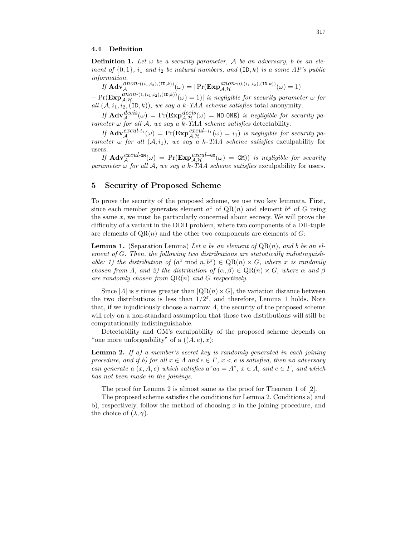## 4.4 Definition

**Definition 1.** Let  $\omega$  be a security parameter, A be an adversary, b be an element of  $\{0,1\}$ ,  $i_1$  and  $i_2$  be natural numbers, and  $(ID, k)$  is a some AP's public information.

 $\mathit{If} \; \mathbf{Adv}_{\mathcal{A}}^{anon\text{-}((i_1,i_2),( \mathtt{ID},k))}(\omega) = |\Pr(\mathbf{Exp}_{\mathcal{A},\mathcal{H}}^{anon\text{-} (0,(i_1,i_2),( \mathtt{ID},k))}(\omega) = 1)$ 

 $-\Pr(\mathbf{Exp}_{\mathcal{A},\mathcal{H}}^{anon-(1,(i_1,i_2),(1D,k))}(\omega)=1)|$  is negligible for security parameter  $\omega$  for all  $(A, i_1, i_2, (ID, k)),$  we say a k-TAA scheme satisfies total anonymity.

If  $\mathbf{Adv}_{\mathcal{A}}^{decis}(\omega) = \Pr(\mathbf{Exp}_{\mathcal{A},\mathcal{H}}^{decis}(\omega) = \texttt{NO-ONE})$  is negligible for security parameter  $\omega$  for all A, we say a k-TAA scheme satisfies detectability.

If  $\mathbf{Adv}_{\mathcal{A}}^{excul-i_1}(\omega) = \Pr(\mathbf{Exp}_{\mathcal{A},\mathcal{H}}^{excul-i_1}(\omega) = i_1)$  is negligible for security parameter  $\omega$  for all  $(A, i_1)$ , we say a k-TAA scheme satisfies exculpability for users.

If  $\mathbf{Adv}_{\mathcal{A}}^{excul\text{-}GM}(\omega) = \Pr(\mathbf{Exp}_{\mathcal{A},\mathcal{H}}^{excul\text{-}GM}(\omega) = \mathbf{GM}))$  is negligible for security parameter  $\omega$  for all A, we say a k-TAA scheme satisfies exculpability for users.

# 5 Security of Proposed Scheme

To prove the security of the proposed scheme, we use two key lemmata. First, since each member generates element  $a^x$  of  $QR(n)$  and element  $b^x$  of G using the same x, we must be particularly concerned about secrecy. We will prove the difficulty of a variant in the DDH problem, where two components of a DH-tuple are elements of  $QR(n)$  and the other two components are elements of G:

**Lemma 1.** (Separation Lemma) Let a be an element of  $QR(n)$ , and b be an element of G. Then, the following two distributions are statistically indistinguishable: 1) the distribution of  $(a^x \mod n, b^x) \in QR(n) \times G$ , where x is randomly chosen from  $\Lambda$ , and 2) the distribution of  $(\alpha, \beta) \in \text{QR}(n) \times G$ , where  $\alpha$  and  $\beta$ are randomly chosen from  $QR(n)$  and G respectively.

Since  $|A|$  is  $\varepsilon$  times greater than  $|QR(n) \times G|$ , the variation distance between the two distributions is less than  $1/2^{\epsilon}$ , and therefore, Lemma 1 holds. Note that, if we injudiciously choose a narrow  $\Lambda$ , the security of the proposed scheme will rely on a non-standard assumption that those two distributions will still be computationally indistinguishable.

Detectability and GM's exculpability of the proposed scheme depends on "one more unforgeability" of a  $((A, e), x)$ :

**Lemma 2.** If a) a member's secret key is randomly generated in each joining procedure, and if b) for all  $x \in A$  and  $e \in \Gamma$ ,  $x < e$  is satisfied, then no adversary can generate a  $(x, A, e)$  which satisfies  $a^x a_0 = A^e$ ,  $x \in A$ , and  $e \in \Gamma$ , and which has not been made in the joinings.

The proof for Lemma 2 is almost same as the proof for Theorem 1 of [2].

The proposed scheme satisfies the conditions for Lemma 2. Conditions a) and b), respectively, follow the method of choosing  $x$  in the joining procedure, and the choice of  $(\lambda, \gamma)$ .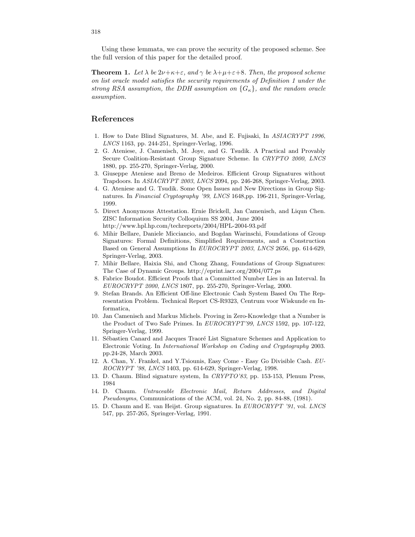Using these lemmata, we can prove the security of the proposed scheme. See the full version of this paper for the detailed proof.

**Theorem 1.** Let  $\lambda$  be  $2\nu+\kappa+\varepsilon$ , and  $\gamma$  be  $\lambda+\mu+\varepsilon+8$ . Then, the proposed scheme on list oracle model satisfies the security requirements of Definition 1 under the strong RSA assumption, the DDH assumption on  $\{G_{\kappa}\}\$ , and the random oracle assumption.

# References

- 1. How to Date Blind Signatures, M. Abe, and E. Fujisaki, In ASIACRYPT 1996, LNCS 1163, pp. 244-251, Springer-Verlag, 1996.
- 2. G. Ateniese, J. Camenisch, M. Joye, and G. Tsudik. A Practical and Provably Secure Coalition-Resistant Group Signature Scheme. In CRYPTO 2000, LNCS 1880, pp. 255-270, Springer-Verlag, 2000.
- 3. Giuseppe Ateniese and Breno de Medeiros. Efficient Group Signatures without Trapdoors. In ASIACRYPT 2003, LNCS 2094, pp. 246-268, Springer-Verlag, 2003.
- 4. G. Ateniese and G. Tsudik. Some Open Issues and New Directions in Group Signatures. In Financial Cryptography '99, LNCS 1648,pp. 196-211, Springer-Verlag, 1999.
- 5. Direct Anonymous Attestation. Ernie Brickell, Jan Camenisch, and Liqun Chen. ZISC Information Security Colloquium SS 2004, June 2004 http://www.hpl.hp.com/techreports/2004/HPL-2004-93.pdf
- 6. Mihir Bellare, Daniele Micciancio, and Bogdan Warinschi, Foundations of Group Signatures: Formal Definitions, Simplified Requirements, and a Construction Based on General Assumptions In EUROCRYPT 2003, LNCS 2656, pp. 614-629, Springer-Verlag, 2003.
- 7. Mihir Bellare, Haixia Shi, and Chong Zhang, Foundations of Group Signatures: The Case of Dynamic Groups. http://eprint.iacr.org/2004/077.ps
- 8. Fabrice Boudot. Efficient Proofs that a Committed Number Lies in an Interval. In EUROCRYPT 2000, LNCS 1807, pp. 255-270, Springer-Verlag, 2000.
- 9. Stefan Brands. An Efficient Off-line Electronic Cash System Based On The Representation Problem. Technical Report CS-R9323, Centrum voor Wiskunde en Informatica,
- 10. Jan Camenisch and Markus Michels. Proving in Zero-Knowledge that a Number is the Product of Two Safe Primes. In EUROCRYPT'99, LNCS 1592, pp. 107-122, Springer-Verlag, 1999.
- 11. Sébastien Canard and Jacques Traoré List Signature Schemes and Application to Electronic Voting. In International Workshop on Coding and Cryptography 2003. pp.24-28, March 2003.
- 12. A. Chan, Y. Frankel, and Y.Tsiounis, Easy Come Easy Go Divisible Cash. EU-ROCRYPT '98, LNCS 1403, pp. 614-629, Springer-Verlag, 1998.
- 13. D. Chaum. Blind signature system, In CRYPTO'83, pp. 153-153, Plenum Press, 1984
- 14. D. Chaum. Untraceable Electronic Mail, Return Addresses, and Digital Pseudonyms, Communications of the ACM, vol. 24, No. 2, pp. 84-88, (1981).
- 15. D. Chaum and E. van Heijst. Group signatures. In EUROCRYPT '91, vol. LNCS 547, pp. 257-265, Springer-Verlag, 1991.